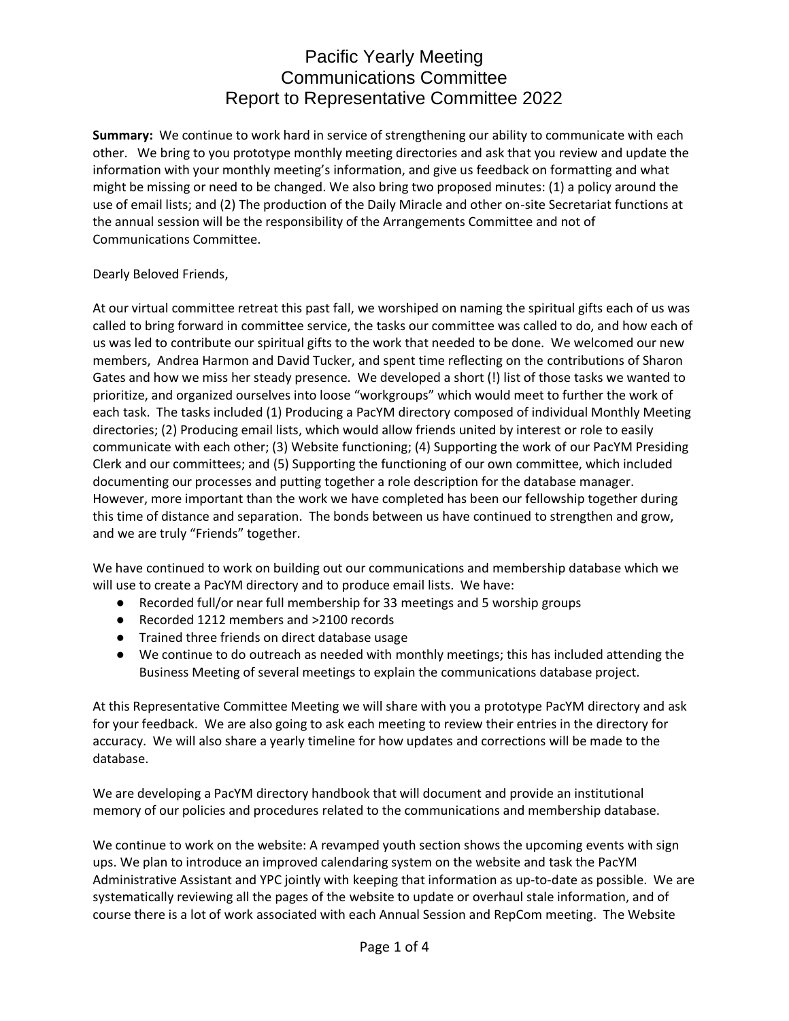**Summary:** We continue to work hard in service of strengthening our ability to communicate with each other. We bring to you prototype monthly meeting directories and ask that you review and update the information with your monthly meeting's information, and give us feedback on formatting and what might be missing or need to be changed. We also bring two proposed minutes: (1) a policy around the use of email lists; and (2) The production of the Daily Miracle and other on-site Secretariat functions at the annual session will be the responsibility of the Arrangements Committee and not of Communications Committee.

### Dearly Beloved Friends,

At our virtual committee retreat this past fall, we worshiped on naming the spiritual gifts each of us was called to bring forward in committee service, the tasks our committee was called to do, and how each of us was led to contribute our spiritual gifts to the work that needed to be done. We welcomed our new members, Andrea Harmon and David Tucker, and spent time reflecting on the contributions of Sharon Gates and how we miss her steady presence. We developed a short (!) list of those tasks we wanted to prioritize, and organized ourselves into loose "workgroups" which would meet to further the work of each task. The tasks included (1) Producing a PacYM directory composed of individual Monthly Meeting directories; (2) Producing email lists, which would allow friends united by interest or role to easily communicate with each other; (3) Website functioning; (4) Supporting the work of our PacYM Presiding Clerk and our committees; and (5) Supporting the functioning of our own committee, which included documenting our processes and putting together a role description for the database manager. However, more important than the work we have completed has been our fellowship together during this time of distance and separation. The bonds between us have continued to strengthen and grow, and we are truly "Friends" together.

We have continued to work on building out our communications and membership database which we will use to create a PacYM directory and to produce email lists. We have:

- Recorded full/or near full membership for 33 meetings and 5 worship groups
- Recorded 1212 members and >2100 records
- Trained three friends on direct database usage
- We continue to do outreach as needed with monthly meetings; this has included attending the Business Meeting of several meetings to explain the communications database project.

At this Representative Committee Meeting we will share with you a prototype PacYM directory and ask for your feedback. We are also going to ask each meeting to review their entries in the directory for accuracy. We will also share a yearly timeline for how updates and corrections will be made to the database.

We are developing a PacYM directory handbook that will document and provide an institutional memory of our policies and procedures related to the communications and membership database.

We continue to work on the website: A revamped youth section shows the upcoming events with sign ups. We plan to introduce an improved calendaring system on the website and task the PacYM Administrative Assistant and YPC jointly with keeping that information as up-to-date as possible. We are systematically reviewing all the pages of the website to update or overhaul stale information, and of course there is a lot of work associated with each Annual Session and RepCom meeting. The Website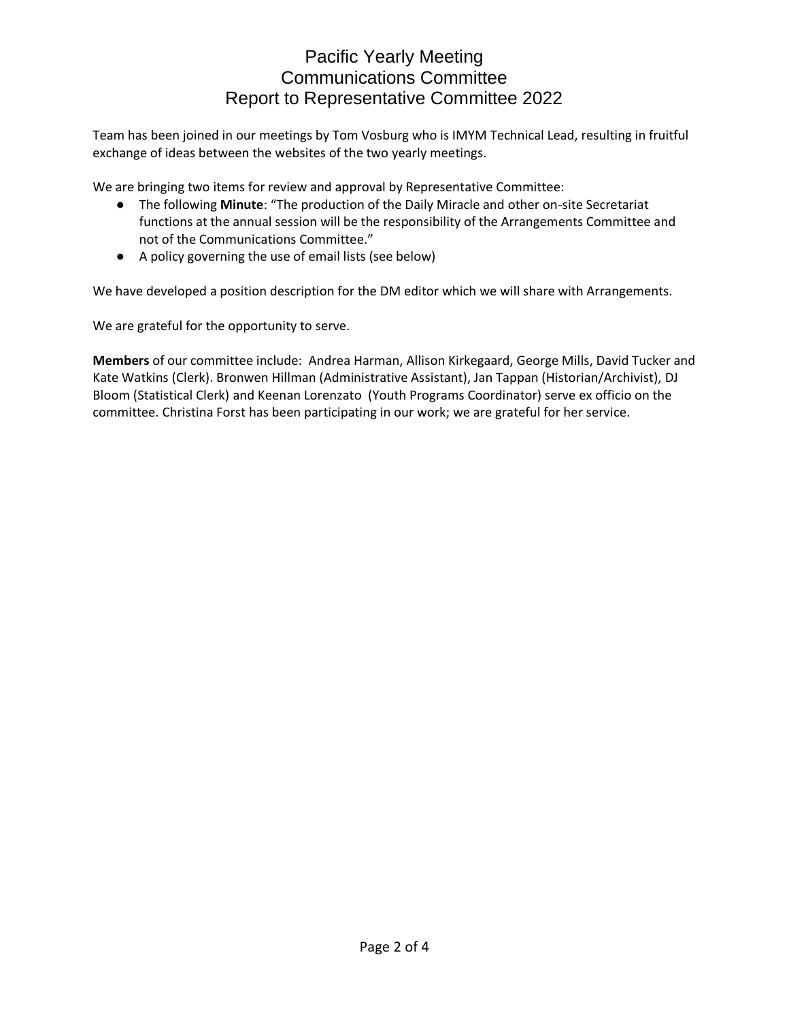Team has been joined in our meetings by Tom Vosburg who is IMYM Technical Lead, resulting in fruitful exchange of ideas between the websites of the two yearly meetings.

We are bringing two items for review and approval by Representative Committee:

- The following **Minute**: "The production of the Daily Miracle and other on-site Secretariat functions at the annual session will be the responsibility of the Arrangements Committee and not of the Communications Committee."
- A policy governing the use of email lists (see below)

We have developed a position description for the DM editor which we will share with Arrangements.

We are grateful for the opportunity to serve.

**Members** of our committee include: Andrea Harman, Allison Kirkegaard, George Mills, David Tucker and Kate Watkins (Clerk). Bronwen Hillman (Administrative Assistant), Jan Tappan (Historian/Archivist), DJ Bloom (Statistical Clerk) and Keenan Lorenzato (Youth Programs Coordinator) serve ex officio on the committee. Christina Forst has been participating in our work; we are grateful for her service.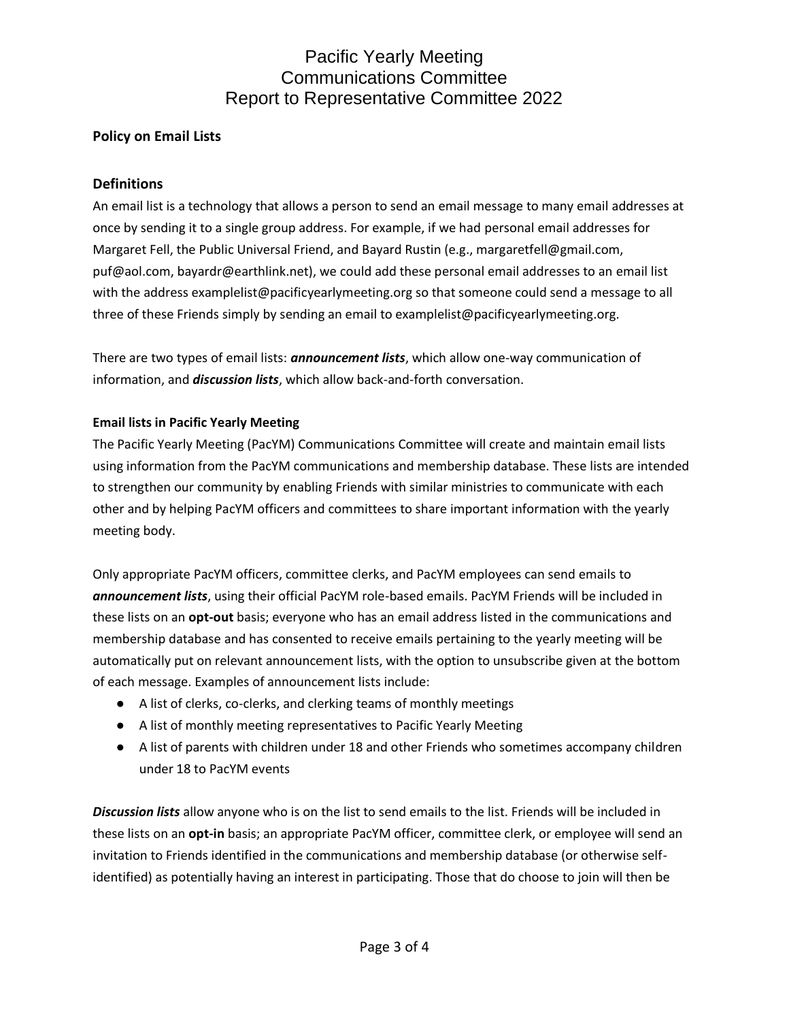### **Policy on Email Lists**

### **Definitions**

An email list is a technology that allows a person to send an email message to many email addresses at once by sending it to a single group address. For example, if we had personal email addresses for Margaret Fell, the Public Universal Friend, and Bayard Rustin (e.g., margaretfell@gmail.com, puf@aol.com, bayardr@earthlink.net), we could add these personal email addresses to an email list with the address examplelist@pacificyearlymeeting.org so that someone could send a message to all three of these Friends simply by sending an email to examplelist@pacificyearlymeeting.org.

There are two types of email lists: *announcement lists*, which allow one-way communication of information, and *discussion lists*, which allow back-and-forth conversation.

### **Email lists in Pacific Yearly Meeting**

The Pacific Yearly Meeting (PacYM) Communications Committee will create and maintain email lists using information from the PacYM communications and membership database. These lists are intended to strengthen our community by enabling Friends with similar ministries to communicate with each other and by helping PacYM officers and committees to share important information with the yearly meeting body.

Only appropriate PacYM officers, committee clerks, and PacYM employees can send emails to *announcement lists*, using their official PacYM role-based emails. PacYM Friends will be included in these lists on an **opt-out** basis; everyone who has an email address listed in the communications and membership database and has consented to receive emails pertaining to the yearly meeting will be automatically put on relevant announcement lists, with the option to unsubscribe given at the bottom of each message. Examples of announcement lists include:

- A list of clerks, co-clerks, and clerking teams of monthly meetings
- A list of monthly meeting representatives to Pacific Yearly Meeting
- A list of parents with children under 18 and other Friends who sometimes accompany children under 18 to PacYM events

*Discussion lists* allow anyone who is on the list to send emails to the list. Friends will be included in these lists on an **opt-in** basis; an appropriate PacYM officer, committee clerk, or employee will send an invitation to Friends identified in the communications and membership database (or otherwise selfidentified) as potentially having an interest in participating. Those that do choose to join will then be